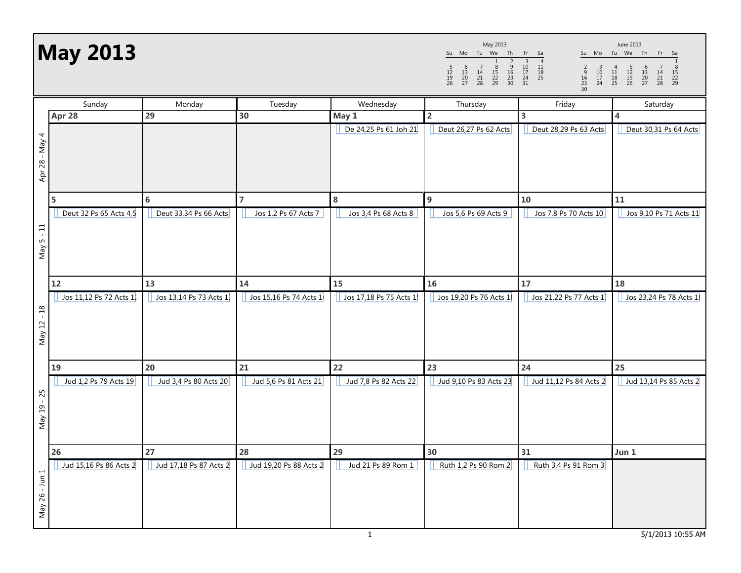## May 2013

| May 2013            |                     |                |                     |                     |                      |                |
|---------------------|---------------------|----------------|---------------------|---------------------|----------------------|----------------|
| Su                  | Mo                  | Tu             | We                  | Th                  | Fr                   | Sa             |
| 5<br>12<br>19<br>26 | 6<br>13<br>20<br>27 | 14<br>21<br>28 | 8<br>15<br>22<br>29 | 9<br>16<br>23<br>30 | 10<br>17<br>24<br>31 | 11<br>18<br>25 |

Su Mo Tu We Th Fr Sa 1 <sup>2</sup> <sup>3</sup> <sup>4</sup> <sup>5</sup> <sup>6</sup> <sup>7</sup> <sup>8</sup> <sup>9</sup> <sup>10</sup> <sup>11</sup> <sup>12</sup> <sup>13</sup> <sup>14</sup> <sup>15</sup> <sup>16</sup> <sup>17</sup> <sup>18</sup> <sup>19</sup> <sup>20</sup> <sup>21</sup> <sup>22</sup> <sup>23</sup> <sup>24</sup> <sup>25</sup> <sup>26</sup> <sup>27</sup> <sup>28</sup> <sup>29</sup> 30 June 2013

|                | Sunday                 | Monday                 | Tuesday                 | Wednesday               | Thursday               | Friday                  | Saturday                |
|----------------|------------------------|------------------------|-------------------------|-------------------------|------------------------|-------------------------|-------------------------|
|                | Apr 28                 | 29                     | 30                      | May 1                   | $\overline{2}$         | $\overline{\mathbf{3}}$ | $\overline{\mathbf{4}}$ |
| Apr 28 - May 4 |                        |                        |                         | De 24,25 Ps 61 Joh 21   | Deut 26,27 Ps 62 Acts  | Deut 28,29 Ps 63 Acts   | Deut 30,31 Ps 64 Acts   |
|                | 5                      | $6\phantom{1}6$        | $\overline{7}$          | 8                       | $9$                    | 10                      | 11                      |
| $May 5 - 11$   | Deut 32 Ps 65 Acts 4,5 | Deut 33,34 Ps 66 Acts  | Jos 1,2 Ps 67 Acts 7    | Jos 3,4 Ps 68 Acts 8    | Jos 5,6 Ps 69 Acts 9   | Jos 7,8 Ps 70 Acts 10   | Jos 9,10 Ps 71 Acts 11  |
|                | 12                     | 13                     | 14                      | 15                      | 16                     | 17                      | 18                      |
| May 12 - 18    | Jos 11,12 Ps 72 Acts 1 | Jos 13,14 Ps 73 Acts 1 | Jos 15,16 Ps 74 Acts 14 | Jos 17,18 Ps 75 Acts 1! | Jos 19,20 Ps 76 Acts 1 | Jos 21,22 Ps 77 Acts 1  | Jos 23,24 Ps 78 Acts 1  |
|                | 19                     | 20                     | 21                      | 22                      | 23                     | 24                      | 25                      |
| May 19 - 25    | Jud 1,2 Ps 79 Acts 19  | Jud 3,4 Ps 80 Acts 20  | Jud 5,6 Ps 81 Acts 21   | Jud 7,8 Ps 82 Acts 22   | Jud 9,10 Ps 83 Acts 23 | Jud 11,12 Ps 84 Acts 2  | Jud 13,14 Ps 85 Acts 2  |
|                | 26                     | 27                     | 28                      | 29                      | 30                     | 31                      | Jun 1                   |
| May 26 - Jun 1 | Jud 15,16 Ps 86 Acts 2 | Jud 17,18 Ps 87 Acts 2 | Jud 19,20 Ps 88 Acts 2  | Jud 21 Ps 89 Rom 1      | Ruth 1,2 Ps 90 Rom 2   | Ruth 3,4 Ps 91 Rom 3    |                         |